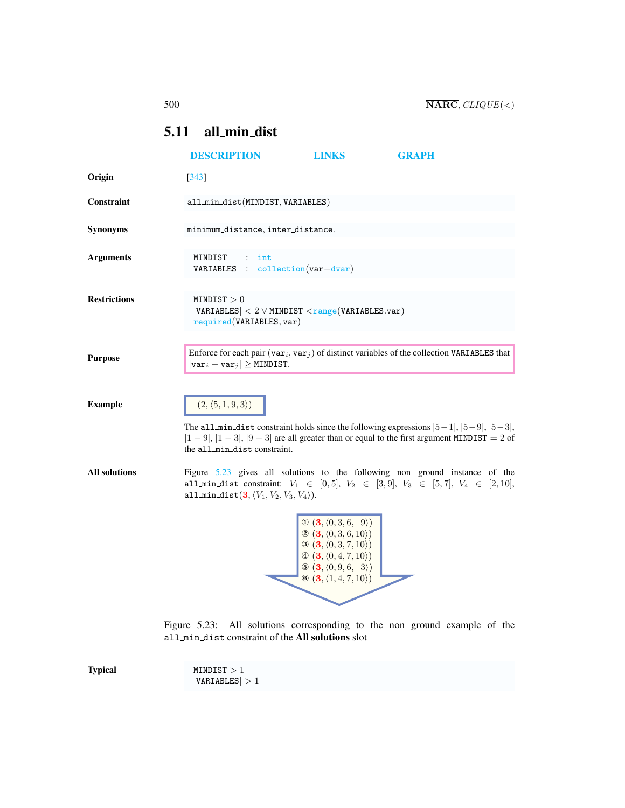## <span id="page-0-0"></span>5.11 all min dist

|                      | <b>DESCRIPTION</b>                                                                                          | <b>LINKS</b>                                                                                                                                                                                                                                                                                                       | <b>GRAPH</b>                                                                                                                                                                                      |  |
|----------------------|-------------------------------------------------------------------------------------------------------------|--------------------------------------------------------------------------------------------------------------------------------------------------------------------------------------------------------------------------------------------------------------------------------------------------------------------|---------------------------------------------------------------------------------------------------------------------------------------------------------------------------------------------------|--|
| Origin               | $[343]$                                                                                                     |                                                                                                                                                                                                                                                                                                                    |                                                                                                                                                                                                   |  |
| Constraint           | all_min_dist(MINDIST, VARIABLES)                                                                            |                                                                                                                                                                                                                                                                                                                    |                                                                                                                                                                                                   |  |
| <b>Synonyms</b>      | minimum distance, inter distance.                                                                           |                                                                                                                                                                                                                                                                                                                    |                                                                                                                                                                                                   |  |
| <b>Arguments</b>     | MINDIST<br>int<br>$VARIABLES : collection(var-dvar)$                                                        |                                                                                                                                                                                                                                                                                                                    |                                                                                                                                                                                                   |  |
| <b>Restrictions</b>  | $\texttt{MINDIST} > 0$<br>$ VARIABLES  < 2 \vee MINDIST < range(VARIABLES.var)$<br>required(VARIABLES, var) |                                                                                                                                                                                                                                                                                                                    |                                                                                                                                                                                                   |  |
| <b>Purpose</b>       | $ \texttt{var}_i - \texttt{var}_j  \geq \texttt{MINDIST}.$                                                  |                                                                                                                                                                                                                                                                                                                    | Enforce for each pair $(\texttt{var}_i, \texttt{var}_j)$ of distinct variables of the collection VARIABLES that                                                                                   |  |
| <b>Example</b>       | $(2, \langle 5, 1, 9, 3 \rangle)$<br>the all_min_dist constraint.                                           |                                                                                                                                                                                                                                                                                                                    | The all min dist constraint holds since the following expressions $ 5-1 ,  5-9 ,  5-3 $ ,<br>$ 1 - 9 $ , $ 1 - 3 $ , $ 9 - 3 $ are all greater than or equal to the first argument MINDIST = 2 of |  |
| <b>All solutions</b> | all_min_dist $(3, \langle V_1, V_2, V_3, V_4 \rangle)$ .                                                    |                                                                                                                                                                                                                                                                                                                    | Figure 5.23 gives all solutions to the following non ground instance of the<br>all min dist constraint: $V_1 \in [0,5], V_2 \in [3,9], V_3 \in [5,7], V_4 \in [2,10],$                            |  |
|                      |                                                                                                             | $\mathbb{O}(\mathbf{3}, \langle 0, 3, 6, 9 \rangle)$<br>$\otimes$ $(\mathbf{3}, \langle 0, 3, 6, 10 \rangle)$<br>$\mathfrak{B}$ $(\mathbf{3}, \langle 0, 3, 7, 10 \rangle)$<br>$\Phi$ $(\mathbf{3}, \langle 0, 4, 7, 10 \rangle)$<br>$\odot$ (3, $(0, 9, 6, 3)$ )<br>$\otimes$ (3, $\langle 1, 4, 7, 10 \rangle$ ) |                                                                                                                                                                                                   |  |

<span id="page-0-1"></span>Figure 5.23: All solutions corresponding to the non ground example of the all min dist constraint of the All solutions slot

Typical MINDIST > 1  $|VARIABLES| > 1$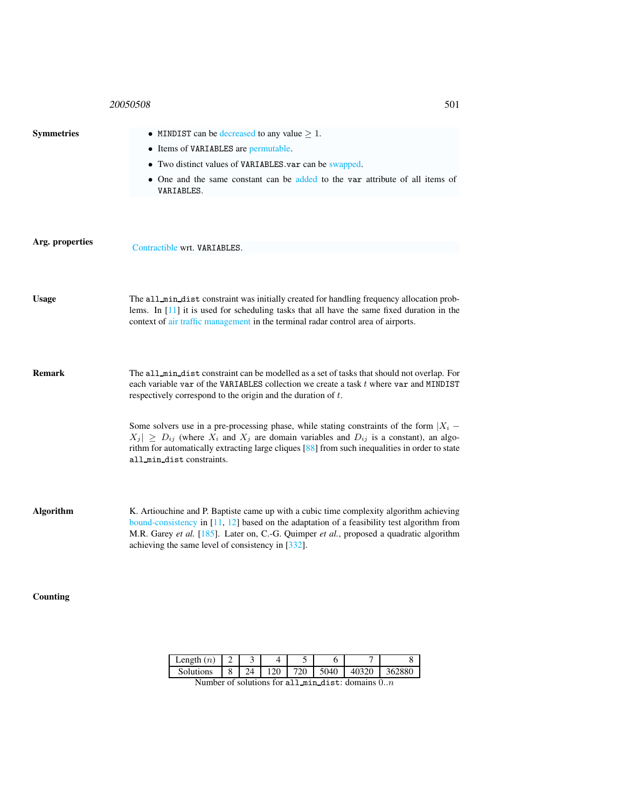## 20050508 501

| <b>Symmetries</b> | • MINDIST can be decreased to any value $\geq 1$ .                                                                                                                                                                                                                                                                                      |
|-------------------|-----------------------------------------------------------------------------------------------------------------------------------------------------------------------------------------------------------------------------------------------------------------------------------------------------------------------------------------|
|                   | • Items of VARIABLES are permutable.                                                                                                                                                                                                                                                                                                    |
|                   | • Two distinct values of VARIABLES var can be swapped.                                                                                                                                                                                                                                                                                  |
|                   | • One and the same constant can be added to the var attribute of all items of<br>VARIABLES.                                                                                                                                                                                                                                             |
|                   |                                                                                                                                                                                                                                                                                                                                         |
| Arg. properties   | Contractible wrt. VARIABLES.                                                                                                                                                                                                                                                                                                            |
|                   |                                                                                                                                                                                                                                                                                                                                         |
|                   |                                                                                                                                                                                                                                                                                                                                         |
| <b>Usage</b>      | The all_min_dist constraint was initially created for handling frequency allocation prob-<br>lems. In $[11]$ it is used for scheduling tasks that all have the same fixed duration in the<br>context of air traffic management in the terminal radar control area of airports.                                                          |
|                   |                                                                                                                                                                                                                                                                                                                                         |
| <b>Remark</b>     | The all_min_dist constraint can be modelled as a set of tasks that should not overlap. For<br>each variable var of the VARIABLES collection we create a task t where var and MINDIST<br>respectively correspond to the origin and the duration of $t$ .                                                                                 |
|                   | Some solvers use in a pre-processing phase, while stating constraints of the form $X_i$ –<br>$ X_j  \ge D_{ij}$ (where $X_i$ and $X_j$ are domain variables and $D_{ij}$ is a constant), an algo-<br>rithm for automatically extracting large cliques [88] from such inequalities in order to state<br>all_min_dist constraints.        |
| <b>Algorithm</b>  | K. Artiouchine and P. Baptiste came up with a cubic time complexity algorithm achieving<br>bound-consistency in $[11, 12]$ based on the adaptation of a feasibility test algorithm from<br>M.R. Garey et al. [185]. Later on, C.-G. Quimper et al., proposed a quadratic algorithm<br>achieving the same level of consistency in [332]. |

Counting

| Length $(n)$                                                      |  |    |     |     |          |       |        |
|-------------------------------------------------------------------|--|----|-----|-----|----------|-------|--------|
| <b>Solutions</b>                                                  |  | 24 | 120 | 720 | $5040$ . | 40320 | 362880 |
| Number of solutions for all $\theta$ in dig to domains $0 \infty$ |  |    |     |     |          |       |        |

Number of solutions for all  $min\_dist$ : domains  $0..n$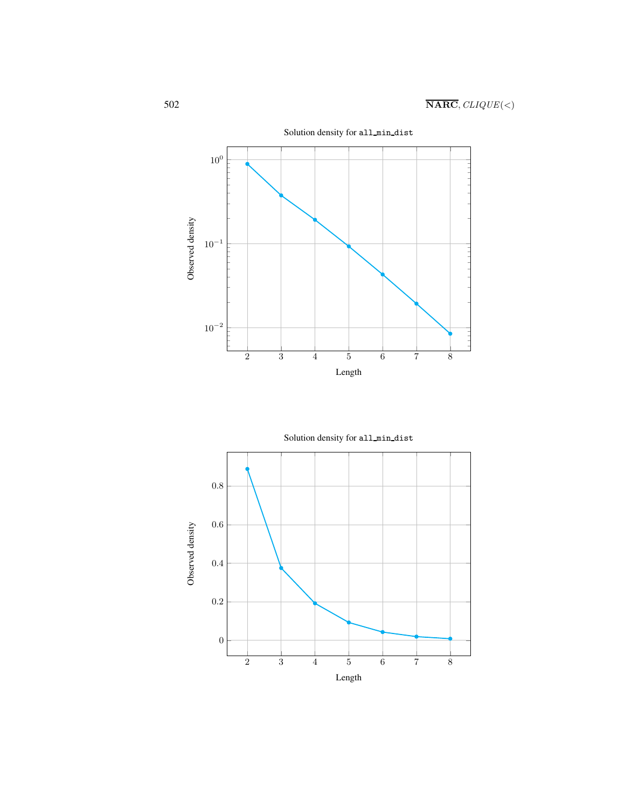

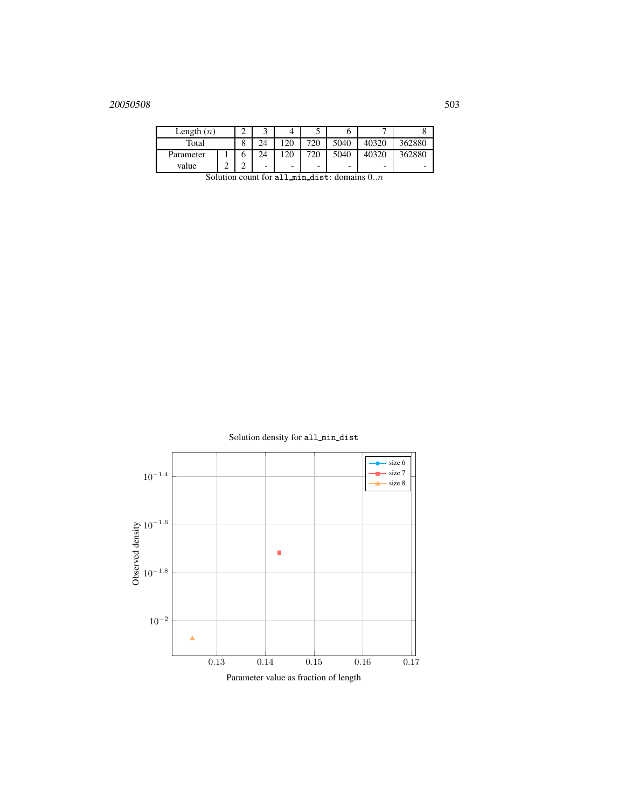## 20050508 503

| Length $(n)$                                                                          |   |  |    |                          |     |      |       |        |
|---------------------------------------------------------------------------------------|---|--|----|--------------------------|-----|------|-------|--------|
| Total                                                                                 |   |  |    | 120                      | 720 | 5040 | 40320 | 362880 |
| Parameter                                                                             |   |  | 24 | 120                      | 720 | 5040 | 40320 | 362880 |
| value                                                                                 | ⌒ |  | -  | $\overline{\phantom{0}}$ | -   | -    | -     | -      |
| $\mathcal{C}_{\text{clution count}}$ for all $\mathbb{R}^4$ digt: domains 0<br>$\sim$ |   |  |    |                          |     |      |       |        |

Solution count for all  $min\_dist$ : domains  $0..n$ 

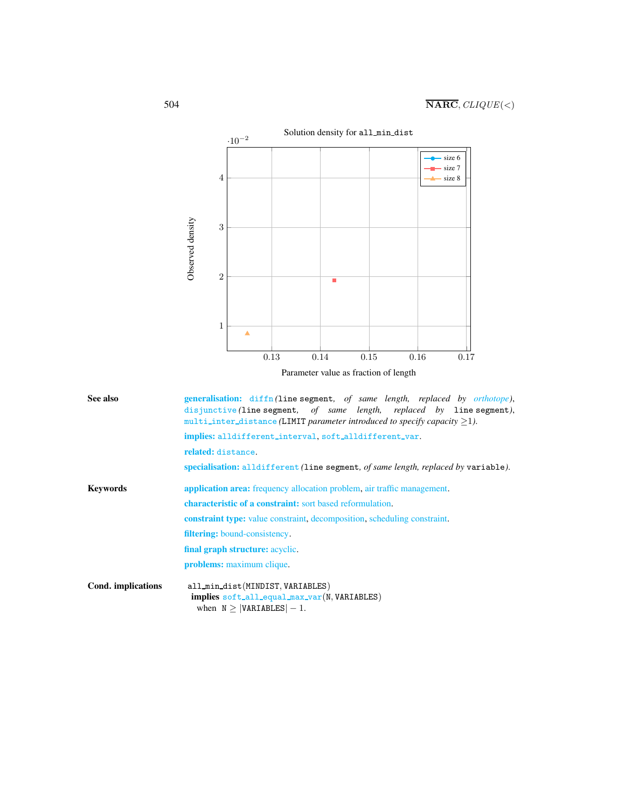

Parameter value as fraction of length

<span id="page-4-0"></span>

| See also           | generalisation: diffn(line segment, of same length, replaced by orthotope),<br>disjunctive (line segment, of same length, replaced by line segment),<br>multi_inter_distance (LIMIT parameter introduced to specify capacity $>1$ ).<br>implies: alldifferent_interval.soft_alldifferent_var. |  |  |  |  |  |
|--------------------|-----------------------------------------------------------------------------------------------------------------------------------------------------------------------------------------------------------------------------------------------------------------------------------------------|--|--|--|--|--|
|                    |                                                                                                                                                                                                                                                                                               |  |  |  |  |  |
|                    | related: distance.                                                                                                                                                                                                                                                                            |  |  |  |  |  |
|                    | specialisation: alldifferent (line segment, of same length, replaced by variable).                                                                                                                                                                                                            |  |  |  |  |  |
| <b>Keywords</b>    | <b>application area:</b> frequency allocation problem, air traffic management.                                                                                                                                                                                                                |  |  |  |  |  |
|                    | <b>characteristic of a constraint:</b> sort based reformulation.                                                                                                                                                                                                                              |  |  |  |  |  |
|                    | <b>constraint type:</b> value constraint, decomposition, scheduling constraint.                                                                                                                                                                                                               |  |  |  |  |  |
|                    | <b>filtering:</b> bound-consistency.                                                                                                                                                                                                                                                          |  |  |  |  |  |
|                    | final graph structure: acyclic.                                                                                                                                                                                                                                                               |  |  |  |  |  |
|                    | <b>problems:</b> maximum clique.                                                                                                                                                                                                                                                              |  |  |  |  |  |
| Cond. implications | all_min_dist(MINDIST, VARIABLES)<br>implies soft_all_equal_max_var(N, VARIABLES)<br>when $N \geq  VARIABLES  - 1$ .                                                                                                                                                                           |  |  |  |  |  |